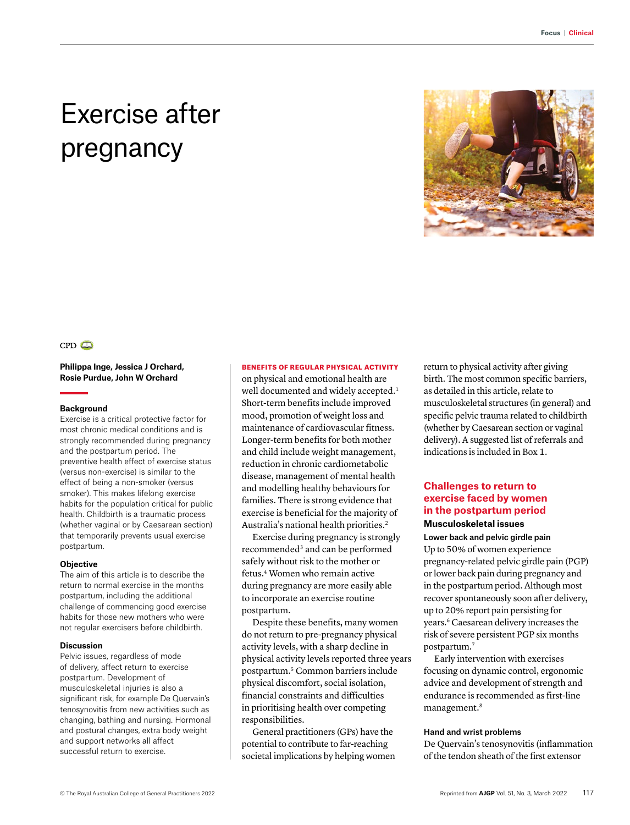# Exercise after pregnancy



# $CPD$

## **Philippa Inge, Jessica J Orchard, Rosie Purdue, John W Orchard**

#### **Background**

Exercise is a critical protective factor for most chronic medical conditions and is strongly recommended during pregnancy and the postpartum period. The preventive health effect of exercise status (versus non-exercise) is similar to the effect of being a non-smoker (versus smoker). This makes lifelong exercise habits for the population critical for public health. Childbirth is a traumatic process (whether vaginal or by Caesarean section) that temporarily prevents usual exercise postpartum.

#### **Objective**

The aim of this article is to describe the return to normal exercise in the months postpartum, including the additional challenge of commencing good exercise habits for those new mothers who were not regular exercisers before childbirth.

### **Discussion**

Pelvic issues, regardless of mode of delivery, affect return to exercise postpartum. Development of musculoskeletal injuries is also a significant risk, for example De Quervain's tenosynovitis from new activities such as changing, bathing and nursing. Hormonal and postural changes, extra body weight and support networks all affect successful return to exercise.

## BENEFITS OF REGULAR PHYSICAL ACTIVITY

on physical and emotional health are well documented and widely accepted.<sup>1</sup> Short-term benefits include improved mood, promotion of weight loss and maintenance of cardiovascular fitness. Longer-term benefits for both mother and child include weight management, reduction in chronic cardiometabolic disease, management of mental health and modelling healthy behaviours for families. There is strong evidence that exercise is beneficial for the majority of Australia's national health priorities.2

Exercise during pregnancy is strongly recommended3 and can be performed safely without risk to the mother or fetus.4 Women who remain active during pregnancy are more easily able to incorporate an exercise routine postpartum.

Despite these benefits, many women do not return to pre-pregnancy physical activity levels, with a sharp decline in physical activity levels reported three years postpartum.5 Common barriers include physical discomfort, social isolation, financial constraints and difficulties in prioritising health over competing responsibilities.

General practitioners (GPs) have the potential to contribute to far-reaching societal implications by helping women return to physical activity after giving birth. The most common specific barriers, as detailed in this article, relate to musculoskeletal structures (in general) and specific pelvic trauma related to childbirth (whether by Caesarean section or vaginal delivery). A suggested list of referrals and indications is included in Box 1.

# **Challenges to return to exercise faced by women in the postpartum period Musculoskeletal issues**

Lower back and pelvic girdle pain Up to 50% of women experience pregnancy-related pelvic girdle pain (PGP) or lower back pain during pregnancy and in the postpartum period. Although most recover spontaneously soon after delivery, up to 20% report pain persisting for years.6 Caesarean delivery increases the risk of severe persistent PGP six months postpartum.7

Early intervention with exercises focusing on dynamic control, ergonomic advice and development of strength and endurance is recommended as first-line management.<sup>8</sup>

## Hand and wrist problems

De Quervain's tenosynovitis (inflammation of the tendon sheath of the first extensor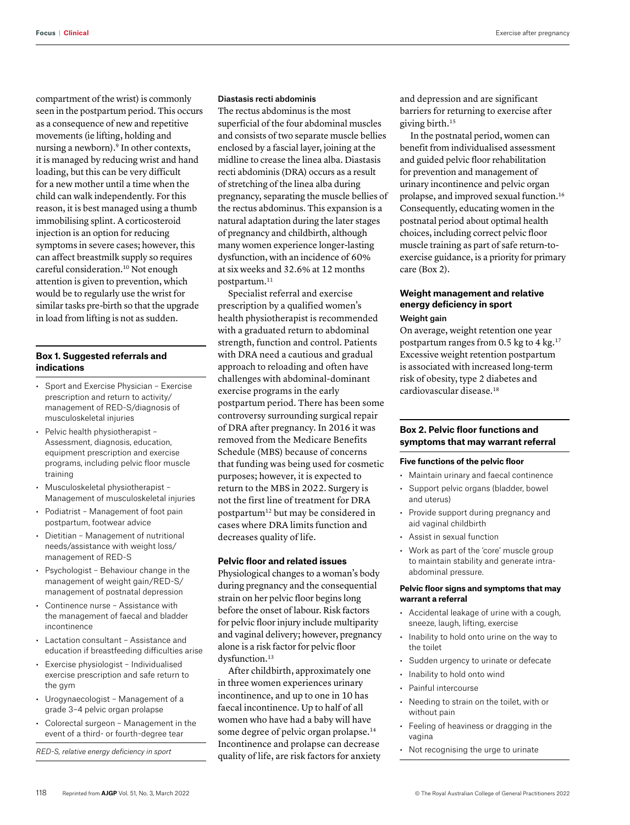**Focus** | **Clinical** Exercise after pregnancy

compartment of the wrist) is commonly seen in the postpartum period. This occurs as a consequence of new and repetitive movements (ie lifting, holding and nursing a newborn).<sup>9</sup> In other contexts, it is managed by reducing wrist and hand loading, but this can be very difficult for a new mother until a time when the child can walk independently. For this reason, it is best managed using a thumb immobilising splint. A corticosteroid injection is an option for reducing symptoms in severe cases; however, this can affect breastmilk supply so requires careful consideration.10 Not enough attention is given to prevention, which would be to regularly use the wrist for similar tasks pre-birth so that the upgrade in load from lifting is not as sudden.

## **Box 1. Suggested referrals and indications**

- Sport and Exercise Physician Exercise prescription and return to activity/ management of RED-S/diagnosis of musculoskeletal injuries
- Pelvic health physiotherapist Assessment, diagnosis, education, equipment prescription and exercise programs, including pelvic floor muscle training
- Musculoskeletal physiotherapist Management of musculoskeletal injuries
- Podiatrist Management of foot pain postpartum, footwear advice
- Dietitian Management of nutritional needs/assistance with weight loss/ management of RED-S
- Psychologist Behaviour change in the management of weight gain/RED-S/ management of postnatal depression
- Continence nurse Assistance with the management of faecal and bladder incontinence
- Lactation consultant Assistance and education if breastfeeding difficulties arise
- Exercise physiologist Individualised exercise prescription and safe return to the gym
- Urogynaecologist Management of a grade 3–4 pelvic organ prolapse
- Colorectal surgeon Management in the event of a third- or fourth-degree tear

*RED-S, relative energy deficiency in sport*

## Diastasis recti abdominis

The rectus abdominus is the most superficial of the four abdominal muscles and consists of two separate muscle bellies enclosed by a fascial layer, joining at the midline to crease the linea alba. Diastasis recti abdominis (DRA) occurs as a result of stretching of the linea alba during pregnancy, separating the muscle bellies of the rectus abdominus. This expansion is a natural adaptation during the later stages of pregnancy and childbirth, although many women experience longer-lasting dysfunction, with an incidence of 60% at six weeks and 32.6% at 12 months postpartum.11

Specialist referral and exercise prescription by a qualified women's health physiotherapist is recommended with a graduated return to abdominal strength, function and control. Patients with DRA need a cautious and gradual approach to reloading and often have challenges with abdominal-dominant exercise programs in the early postpartum period. There has been some controversy surrounding surgical repair of DRA after pregnancy. In 2016 it was removed from the Medicare Benefits Schedule (MBS) because of concerns that funding was being used for cosmetic purposes; however, it is expected to return to the MBS in 2022. Surgery is not the first line of treatment for DRA postpartum12 but may be considered in cases where DRA limits function and decreases quality of life.

#### **Pelvic floor and related issues**

Physiological changes to a woman's body during pregnancy and the consequential strain on her pelvic floor begins long before the onset of labour. Risk factors for pelvic floor injury include multiparity and vaginal delivery; however, pregnancy alone is a risk factor for pelvic floor dysfunction.<sup>13</sup>

After childbirth, approximately one in three women experiences urinary incontinence, and up to one in 10 has faecal incontinence. Up to half of all women who have had a baby will have some degree of pelvic organ prolapse.<sup>14</sup> Incontinence and prolapse can decrease quality of life, are risk factors for anxiety and depression and are significant barriers for returning to exercise after giving birth.15

In the postnatal period, women can benefit from individualised assessment and guided pelvic floor rehabilitation for prevention and management of urinary incontinence and pelvic organ prolapse, and improved sexual function.16 Consequently, educating women in the postnatal period about optimal health choices, including correct pelvic floor muscle training as part of safe return-toexercise guidance, is a priority for primary care (Box 2).

# **Weight management and relative energy deficiency in sport**  Weight gain

On average, weight retention one year postpartum ranges from 0.5 kg to 4 kg. $17$ Excessive weight retention postpartum is associated with increased long-term risk of obesity, type 2 diabetes and cardiovascular disease.18

# **Box 2. Pelvic floor functions and symptoms that may warrant referral**

## **Five functions of the pelvic floor**

- Maintain urinary and faecal continence
- Support pelvic organs (bladder, bowel and uterus)
- Provide support during pregnancy and aid vaginal childbirth
- Assist in sexual function
- Work as part of the 'core' muscle group to maintain stability and generate intraabdominal pressure.

## **Pelvic floor signs and symptoms that may warrant a referral**

- Accidental leakage of urine with a cough, sneeze, laugh, lifting, exercise
- Inability to hold onto urine on the way to the toilet
- Sudden urgency to urinate or defecate
- Inability to hold onto wind
- Painful intercourse
- Needing to strain on the toilet, with or without pain
- Feeling of heaviness or dragging in the vagina
- Not recognising the urge to urinate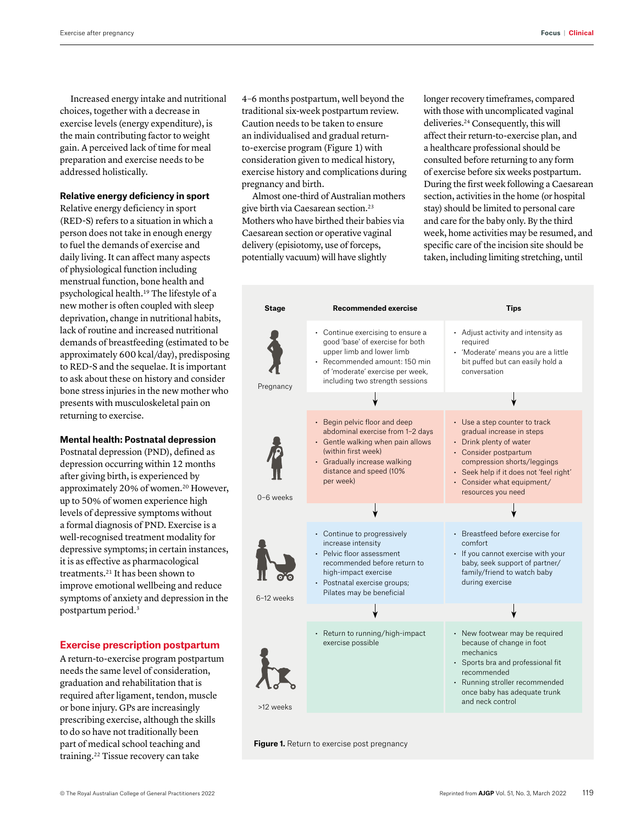Increased energy intake and nutritional choices, together with a decrease in exercise levels (energy expenditure), is the main contributing factor to weight gain. A perceived lack of time for meal preparation and exercise needs to be addressed holistically.

## **Relative energy deficiency in sport**

Relative energy deficiency in sport (RED-S) refers to a situation in which a person does not take in enough energy to fuel the demands of exercise and daily living. It can affect many aspects of physiological function including menstrual function, bone health and psychological health.19 The lifestyle of a new mother is often coupled with sleep deprivation, change in nutritional habits, lack of routine and increased nutritional demands of breastfeeding (estimated to be approximately 600 kcal/day), predisposing to RED-S and the sequelae. It is important to ask about these on history and consider bone stress injuries in the new mother who presents with musculoskeletal pain on returning to exercise.

## **Mental health: Postnatal depression**

Postnatal depression (PND), defined as depression occurring within 12 months after giving birth, is experienced by approximately 20% of women.<sup>20</sup> However, up to 50% of women experience high levels of depressive symptoms without a formal diagnosis of PND. Exercise is a well-recognised treatment modality for depressive symptoms; in certain instances, it is as effective as pharmacological treatments.21 It has been shown to improve emotional wellbeing and reduce symptoms of anxiety and depression in the postpartum period.3

## **Exercise prescription postpartum**

A return-to-exercise program postpartum needs the same level of consideration, graduation and rehabilitation that is required after ligament, tendon, muscle or bone injury. GPs are increasingly prescribing exercise, although the skills to do so have not traditionally been part of medical school teaching and training.22 Tissue recovery can take

4–6 months postpartum, well beyond the traditional six-week postpartum review. Caution needs to be taken to ensure an individualised and gradual returnto-exercise program (Figure 1) with consideration given to medical history, exercise history and complications during pregnancy and birth.

Almost one-third of Australian mothers give birth via Caesarean section.23 Mothers who have birthed their babies via Caesarean section or operative vaginal delivery (episiotomy, use of forceps, potentially vacuum) will have slightly

longer recovery timeframes, compared with those with uncomplicated vaginal deliveries.24 Consequently, this will affect their return-to-exercise plan, and a healthcare professional should be consulted before returning to any form of exercise before six weeks postpartum. During the first week following a Caesarean section, activities in the home (or hospital stay) should be limited to personal care and care for the baby only. By the third week, home activities may be resumed, and specific care of the incision site should be taken, including limiting stretching, until



**Figure 1.** Return to exercise post pregnancy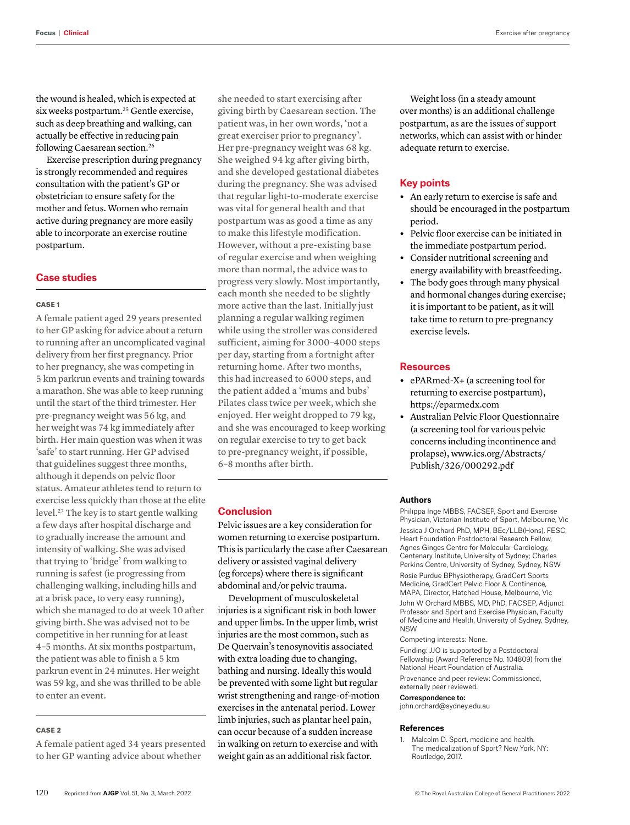the wound is healed, which is expected at six weeks postpartum.<sup>25</sup> Gentle exercise, such as deep breathing and walking, can actually be effective in reducing pain following Caesarean section.<sup>26</sup>

Exercise prescription during pregnancy is strongly recommended and requires consultation with the patient's GP or obstetrician to ensure safety for the mother and fetus. Women who remain active during pregnancy are more easily able to incorporate an exercise routine postpartum.

## **Case studies**

#### CASE 1

A female patient aged 29 years presented to her GP asking for advice about a return to running after an uncomplicated vaginal delivery from her first pregnancy. Prior to her pregnancy, she was competing in 5 km parkrun events and training towards a marathon. She was able to keep running until the start of the third trimester. Her pre-pregnancy weight was 56 kg, and her weight was 74 kg immediately after birth. Her main question was when it was 'safe' to start running. Her GP advised that guidelines suggest three months, although it depends on pelvic floor status. Amateur athletes tend to return to exercise less quickly than those at the elite level.27 The key is to start gentle walking a few days after hospital discharge and to gradually increase the amount and intensity of walking. She was advised that trying to 'bridge' from walking to running is safest (ie progressing from challenging walking, including hills and at a brisk pace, to very easy running), which she managed to do at week 10 after giving birth. She was advised not to be competitive in her running for at least 4–5 months. At six months postpartum, the patient was able to finish a 5 km parkrun event in 24 minutes. Her weight was 59 kg, and she was thrilled to be able to enter an event.

#### CASE 2

A female patient aged 34 years presented to her GP wanting advice about whether

she needed to start exercising after giving birth by Caesarean section. The patient was, in her own words, 'not a great exerciser prior to pregnancy'. Her pre-pregnancy weight was 68 kg. She weighed 94 kg after giving birth, and she developed gestational diabetes during the pregnancy. She was advised that regular light-to-moderate exercise was vital for general health and that postpartum was as good a time as any to make this lifestyle modification. However, without a pre-existing base of regular exercise and when weighing more than normal, the advice was to progress very slowly. Most importantly, each month she needed to be slightly more active than the last. Initially just planning a regular walking regimen while using the stroller was considered sufficient, aiming for 3000–4000 steps per day, starting from a fortnight after returning home. After two months, this had increased to 6000 steps, and the patient added a 'mums and bubs' Pilates class twice per week, which she enjoyed. Her weight dropped to 79 kg, and she was encouraged to keep working on regular exercise to try to get back to pre-pregnancy weight, if possible, 6–8 months after birth.

## **Conclusion**

Pelvic issues are a key consideration for women returning to exercise postpartum. This is particularly the case after Caesarean delivery or assisted vaginal delivery (eg forceps) where there is significant abdominal and/or pelvic trauma.

Development of musculoskeletal injuries is a significant risk in both lower and upper limbs. In the upper limb, wrist injuries are the most common, such as De Quervain's tenosynovitis associated with extra loading due to changing, bathing and nursing. Ideally this would be prevented with some light but regular wrist strengthening and range-of-motion exercises in the antenatal period. Lower limb injuries, such as plantar heel pain, can occur because of a sudden increase in walking on return to exercise and with weight gain as an additional risk factor.

Weight loss (in a steady amount over months) is an additional challenge postpartum, as are the issues of support networks, which can assist with or hinder adequate return to exercise.

## **Key points**

- **•** An early return to exercise is safe and should be encouraged in the postpartum period.
- **•** Pelvic floor exercise can be initiated in the immediate postpartum period.
- **•** Consider nutritional screening and energy availability with breastfeeding.
- **•** The body goes through many physical and hormonal changes during exercise; it is important to be patient, as it will take time to return to pre-pregnancy exercise levels.

## **Resources**

- **•** ePARmed-X+ (a screening tool for returning to exercise postpartum), [https://eparmedx.com](https://eparmedx.com/)
- **•** Australian Pelvic Floor Questionnaire (a screening tool for various pelvic concerns including incontinence and prolapse), [www.ics.org/Abstracts/](http://www.ics.org/Abstracts/Publish/326/000292.pdf) [Publish/326/000292.pdf](http://www.ics.org/Abstracts/Publish/326/000292.pdf)

## **Authors**

Philippa Inge MBBS, FACSEP, Sport and Exercise Physician, Victorian Institute of Sport, Melbourne, Vic Jessica J Orchard PhD, MPH, BEc/LLB(Hons), FESC, Heart Foundation Postdoctoral Research Fellow, Agnes Ginges Centre for Molecular Cardiology, Centenary Institute, University of Sydney; Charles Perkins Centre, University of Sydney, Sydney, NSW

Rosie Purdue BPhysiotherapy, GradCert Sports Medicine, GradCert Pelvic Floor & Continence, MAPA, Director, Hatched House, Melbourne, Vic John W Orchard MBBS, MD, PhD, FACSEP, Adjunct Professor and Sport and Exercise Physician, Faculty of Medicine and Health, University of Sydney, Sydney, NSW

#### Competing interests: None.

Funding: JJO is supported by a Postdoctoral Fellowship (Award Reference No. 104809) from the National Heart Foundation of Australia. Provenance and peer review: Commissioned,

externally peer reviewed.

#### Correspondence to:

john.orchard@sydney.edu.au

## **References**

Malcolm D. Sport, medicine and health. The medicalization of Sport? New York, NY: Routledge, 2017.